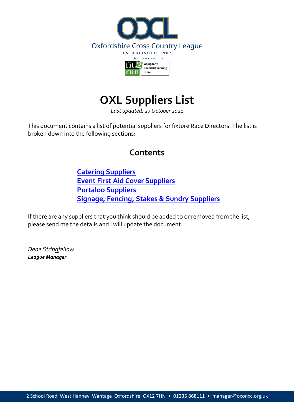

# **OXL Suppliers List**

*Last updated: 27 October 2021*

This document contains a list of potential suppliers for fixture Race Directors. The list is broken down into the following sections:

# **Contents**

**Catering Suppliers Event First Aid Cover Suppliers Portaloo Suppliers Signage, Fencing, Stakes & Sundry Suppliers**

If there are any suppliers that you think should be added to or removed from the list, please send me the details and I will update the document.

*Dene Stringfellow League Manager*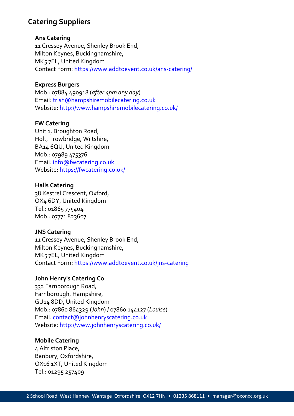# **Catering Suppliers**

# **Ans Catering**

11 Cressey Avenue, Shenley Brook End, Milton Keynes, Buckinghamshire, MK5 7EL, United Kingdom Contact Form: https://www.addtoevent.co.uk/ans-catering/

# **Express Burgers**

Mob.: 07884 490918 (*after 4pm any day*) Email: trish@hampshiremobilecatering.co.uk Website: http://www.hampshiremobilecatering.co.uk/

# **FW Catering**

Unit 1, Broughton Road, Holt, Trowbridge, Wiltshire, BA14 6QU, United Kingdom Mob.: 07989 475376 Email: info@fwcatering.co.uk Website: https://fwcatering.co.uk/

# **Halls Catering**

38 Kestrel Crescent, Oxford, OX4 6DY, United Kingdom Tel.: 01865 775404 Mob.: 07771 823607

# **JNS Catering**

11 Cressey Avenue, Shenley Brook End, Milton Keynes, Buckinghamshire, MK5 7EL, United Kingdom Contact Form: https://www.addtoevent.co.uk/jns-catering

# **John Henry's Catering Co**

332 Farnborough Road, Farnborough, Hampshire, GU14 8DD, United Kingdom Mob.: 07860 864329 (*John*) / 07860 144127 (*Louise*) Email: contact@johnhenryscatering.co.uk Website: http://www.johnhenryscatering.co.uk/

#### **Mobile Catering**

4 Alfriston Place, Banbury, Oxfordshire, OX16 1XT, United Kingdom Tel.: 01295 257409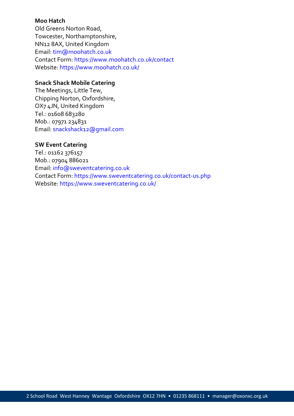#### **Moo Hatch**

Old Greens Norton Road, Towcester, Northamptonshire, NN12 8AX, United Kingdom Email: tim@moohatch.co.uk Contact Form: https://www.moohatch.co.uk/contact Website: https://www.moohatch.co.uk/

# **Snack Shack Mobile Catering**

The Meetings, Little Tew, Chipping Norton, Oxfordshire, OX7 4JN, United Kingdom Tel.: 01608 683280 Mob.: 07971 234831 Email: snackshack12@gmail.com

# **SW Event Catering**

Tel.: 01162 376157 Mob.: 07904 886021 Email: info@sweventcatering.co.uk Contact Form: https://www.sweventcatering.co.uk/contact-us.php Website: https://www.sweventcatering.co.uk/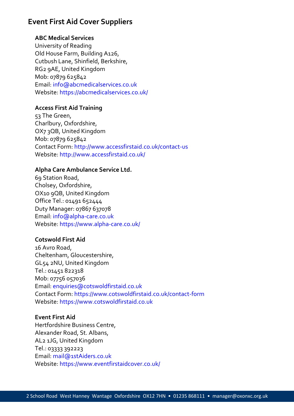# **Event First Aid Cover Suppliers**

# **ABC Medical Services**

University of Reading Old House Farm, Building A126, Cutbush Lane, Shinfield, Berkshire, RG2 9AE, United Kingdom Mob: 07879 625842 Email: info@abcmedicalservices.co.uk Website: https://abcmedicalservices.co.uk/

# **Access First Aid Training**

53 The Green, Charlbury, Oxfordshire, OX7 3QB, United Kingdom Mob: 07879 625842 Contact Form: http://www.accessfirstaid.co.uk/contact-us Website: http://www.accessfirstaid.co.uk/

# **Alpha Care Ambulance Service Ltd.**

69 Station Road, Cholsey, Oxfordshire, OX10 9QB, United Kingdom Office Tel.: 01491 652444 Duty Manager: 07867 637078 Email: info@alpha-care.co.uk Website: https://www.alpha-care.co.uk/

# **Cotswold First Aid**

16 Avro Road, Cheltenham, Gloucestershire, GL54 2NU, United Kingdom Tel.: 01451 822318 Mob: 07756 057036 Email: enquiries@cotswoldfirstaid.co.uk Contact Form: https://www.cotswoldfirstaid.co.uk/contact-form Website: https://www.cotswoldfirstaid.co.uk

# **Event First Aid**

Hertfordshire Business Centre, Alexander Road, St. Albans, AL2 1JG, United Kingdom Tel.: 03333 392223 Email: mail@1stAiders.co.uk Website: https://www.eventfirstaidcover.co.uk/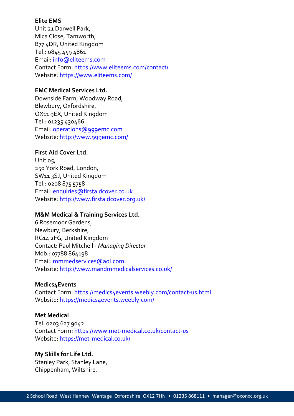# **Elite EMS**

Unit 21 Darwell Park, Mica Close, Tamworth, B77 4DR, United Kingdom Tel.: 0845 459 4861 Email: info@eliteems.com Contact Form: https://www.eliteems.com/contact/ Website: https://www.eliteems.com/

# **EMC Medical Services Ltd.**

Downside Farm, Woodway Road, Blewbury, Oxfordshire, OX11 9EX, United Kingdom Tel.: 01235 430466 Email: operations@999emc.com Website: http://www.999emc.com/

# **First Aid Cover Ltd.**

Unit 05, 250 York Road, London, SW11 3SJ, United Kingdom Tel.: 0208 875 5758 Email: enquiries@firstaidcover.co.uk Website: http://www.firstaidcover.org.uk/

# **M&M Medical & Training Services Ltd.**

6 Rosemoor Gardens, Newbury, Berkshire, RG14 2FG, United Kingdom Contact: Paul Mitchell - *Managing Director* Mob.: 07788 864198 Email: mmmedservices@aol.com Website: http://www.mandmmedicalservices.co.uk/

# **Medics4Events**

Contact Form: https://medics4events.weebly.com/contact-us.html Website: https://medics4events.weebly.com/

#### **Met Medical**

Tel: 0203 627 9042 Contact Form: https://www.met-medical.co.uk/contact-us Website: https://met-medical.co.uk/

# **My Skills for Life Ltd.**

Stanley Park, Stanley Lane, Chippenham, Wiltshire,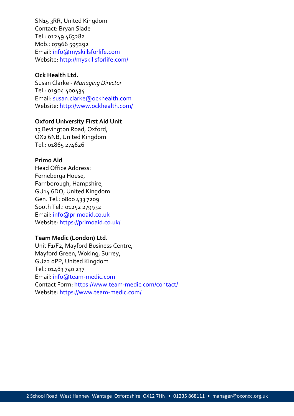SN15 3RR, United Kingdom Contact: Bryan Slade Tel.: 01249 463282 Mob.: 07966 595292 Email: info@myskillsforlife.com Website: http://myskillsforlife.com/

# **Ock Health Ltd.**

Susan Clarke - *Managing Director* Tel.: 01904 400434 Email: susan.clarke@ockhealth.com Website: http://www.ockhealth.com/

#### **Oxford University First Aid Unit**

13 Bevington Road, Oxford, OX2 6NB, United Kingdom Tel.: 01865 274626

#### **Primo Aid**

Head Office Address: Ferneberga House, Farnborough, Hampshire, GU14 6DQ, United Kingdom Gen. Tel.: 0800 433 7209 South Tel.: 01252 279932 Email: info@primoaid.co.uk Website: https://primoaid.co.uk/

#### **Team Medic (London) Ltd.**

Unit F1/F2, Mayford Business Centre, Mayford Green, Woking, Surrey, GU22 0PP, United Kingdom Tel.: 01483 740 237 Email: info@team-medic.com Contact Form: https://www.team-medic.com/contact/ Website: https://www.team-medic.com/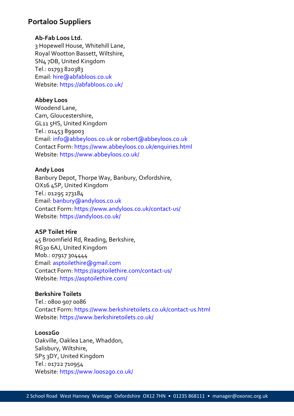# **Portaloo Suppliers**

# **Ab-Fab Loos Ltd.**

3 Hopewell House, Whitehill Lane, Royal Wootton Bassett, Wiltshire, SN4 7DB, United Kingdom Tel.: 01793 820383 Email: hire@abfabloos.co.uk Website: https://abfabloos.co.uk/

# **Abbey Loos**

Woodend Lane, Cam, Gloucestershire, GL11 5HS, United Kingdom Tel.: 01453 899003 Email: info@abbeyloos.co.uk or robert@abbeyloos.co.uk Contact Form: https://www.abbeyloos.co.uk/enquiries.html Website: https://www.abbeyloos.co.uk/

# **Andy Loos**

Banbury Depot, Thorpe Way, Banbury, Oxfordshire, OX16 4SP, United Kingdom Tel.: 01295 273184 Email: banbury@andyloos.co.uk Contact Form: https://www.andyloos.co.uk/contact-us/ Website: https://andyloos.co.uk/

#### **ASP Toilet Hire**

45 Broomfield Rd, Reading, Berkshire, RG30 6AJ, United Kingdom Mob.: 07917 304444 Email: asptoilethire@gmail.com Contact Form: https://asptoilethire.com/contact-us/ Website: https://asptoilethire.com/

#### **Berkshire Toilets**

Tel.: 0800 907 0086 Contact Form: https://www.berkshiretoilets.co.uk/contact-us.html Website: https://www.berkshiretoilets.co.uk/

#### **Loos2Go**

Oakville, Oaklea Lane, Whaddon, Salisbury, Wiltshire, SP5 3DY, United Kingdom Tel.: 01722 710954 Website: https://www.loos2go.co.uk/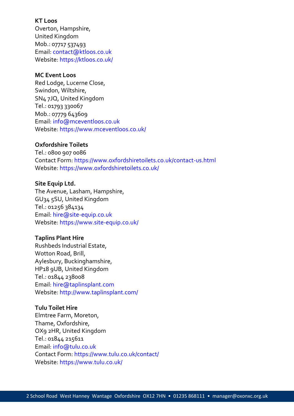# **KT Loos**

Overton, Hampshire, United Kingdom Mob.: 07717 537493 Email: contact@ktloos.co.uk Website: https://ktloos.co.uk/

#### **MC Event Loos**

Red Lodge, Lucerne Close, Swindon, Wiltshire, SN4 7JQ, United Kingdom Tel.: 01793 330067 Mob.: 07779 643609 Email: info@mceventloos.co.uk Website: https://www.mceventloos.co.uk/

#### **Oxfordshire Toilets**

Tel.: 0800 907 0086 Contact Form: https://www.oxfordshiretoilets.co.uk/contact-us.html Website: https://www.oxfordshiretoilets.co.uk/

#### **Site Equip Ltd.**

The Avenue, Lasham, Hampshire, GU34 5SU, United Kingdom Tel.: 01256 384134 Email: hire@site-equip.co.uk Website: https://www.site-equip.co.uk/

#### **Taplins Plant Hire**

Rushbeds Industrial Estate, Wotton Road, Brill, Aylesbury, Buckinghamshire, HP18 9UB, United Kingdom Tel.: 01844 238008 Email: hire@taplinsplant.com Website: http://www.taplinsplant.com/

#### **Tulu Toilet Hire**

Elmtree Farm, Moreton, Thame, Oxfordshire, OX9 2HR, United Kingdom Tel.: 01844 215611 Email: info@tulu.co.uk Contact Form: https://www.tulu.co.uk/contact/ Website: https://www.tulu.co.uk/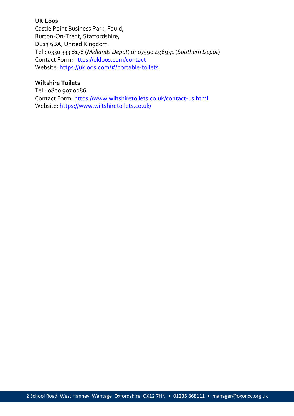#### **UK Loos**

Castle Point Business Park, Fauld, Burton-On-Trent, Staffordshire, DE13 9BA, United Kingdom Tel.: 0330 333 8178 (*Midlands Depot*) or 07590 498951 (*Southern Depot*) Contact Form: https://ukloos.com/contact Website: https://ukloos.com/#/portable-toilets

#### **Wiltshire Toilets**

Tel.: 0800 907 0086 Contact Form: https://www.wiltshiretoilets.co.uk/contact-us.html Website: https://www.wiltshiretoilets.co.uk/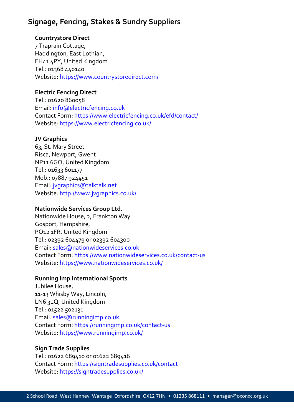# **Signage, Fencing, Stakes & Sundry Suppliers**

# **Countrystore Direct**

7 Traprain Cottage, Haddington, East Lothian, EH41 4PY, United Kingdom Tel.: 01368 440140 Website: https://www.countrystoredirect.com/

# **Electric Fencing Direct**

Tel.: 01620 860058 Email: info@electricfencing.co.uk Contact Form: https://www.electricfencing.co.uk/efd/contact/ Website: https://www.electricfencing.co.uk/

# **JV Graphics**

63, St. Mary Street Risca, Newport, Gwent NP11 6GQ, United Kingdom Tel.: 01633 601177 Mob.: 07887 924451 Email: jvgraphics@talktalk.net Website: http://www.jvgraphics.co.uk/

#### **Nationwide Services Group Ltd.**

Nationwide House, 2, Frankton Way Gosport, Hampshire, PO12 1FR, United Kingdom Tel.: 02392 604479 or 02392 604300 Email: sales@nationwideservices.co.uk Contact Form: https://www.nationwideservices.co.uk/contact-us Website: https://www.nationwideservices.co.uk/

# **Running Imp International Sports**

Jubilee House, 11-13 Whisby Way, Lincoln, LN6 3LQ, United Kingdom Tel.: 01522 502131 Email: sales@runningimp.co.uk Contact Form: https://runningimp.co.uk/contact-us Website: https://www.runningimp.co.uk/

#### **Sign Trade Supplies**

Tel.: 01622 689410 or o1622 689416 Contact Form: https://signtradesupplies.co.uk/contact Website: https://signtradesupplies.co.uk/